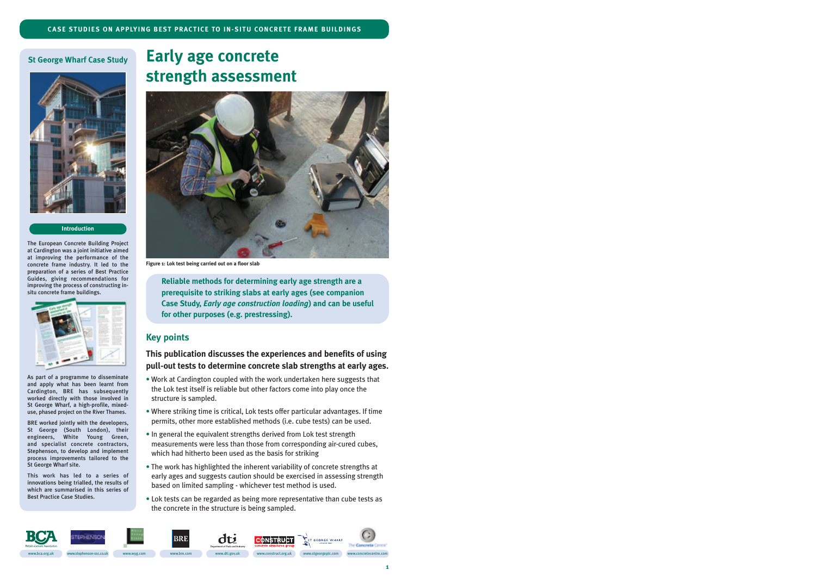#### **St George Wharf Case Study**



#### **Introduction**

The European Concrete Building Project at Cardington was a joint initiative aimed at improving the performance of the concrete frame industry. It led to the preparation of a series of Best Practice Guides, giving recommendations for improving the process of constructing insitu concrete frame buildings.



As part of a programme to disseminate and apply what has been learnt from Cardington, BRE has subsequently worked directly with those involved in St George Wharf, a high-profile, mixeduse, phased project on the River Thames.

BRE worked jointly with the developers, St George (South London), their engineers, White Young Green, and specialist concrete contractors, Stephenson, to develop and implement process improvements tailored to the St George Wharf site.

This work has led to a series of innovations being trialled, the results of which are summarised in this series of Best Practice Case Studies.

# **Early age concrete strength assessment**



**Figure 1: Lok test being carried out on a floor slab**

**Reliable methods for determining early age strength are a prerequisite to striking slabs at early ages (see companion Case Study,** *Early age construction loading***) and can be useful for other purposes (e.g. prestressing).**

# **Key points**

# **This publication discusses the experiences and benefits of using pull-out tests to determine concrete slab strengths at early ages.**

- Work at Cardington coupled with the work undertaken here suggests that the Lok test itself is reliable but other factors come into play once the structure is sampled.
- Where striking time is critical, Lok tests offer particular advantages. If time permits, other more established methods (i.e. cube tests) can be used.
- In general the equivalent strengths derived from Lok test strength measurements were less than those from corresponding air-cured cubes, which had hitherto been used as the basis for striking
- The work has highlighted the inherent variability of concrete strengths at early ages and suggests caution should be exercised in assessing strength based on limited sampling - whichever test method is used.
- Lok tests can be regarded as being more representative than cube tests as the concrete in the structure is being sampled.

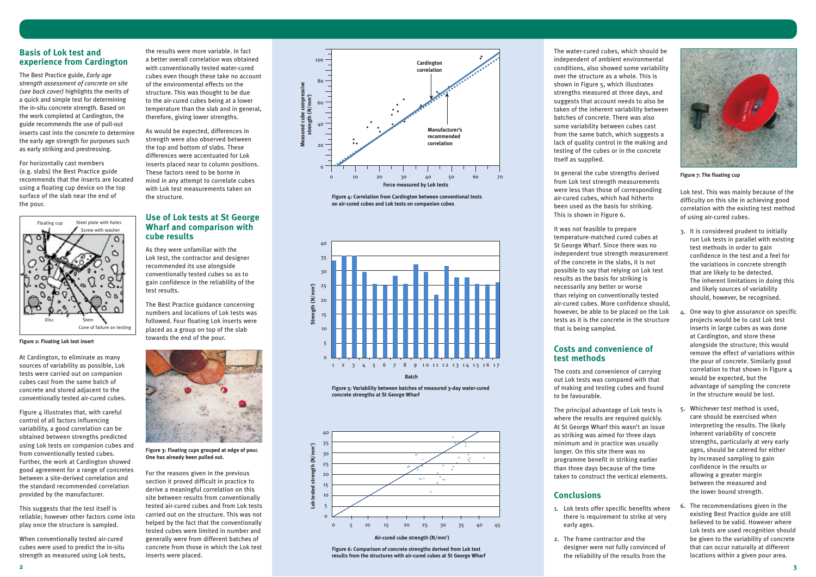### **Basis of Lok test and experience from Cardington**

The Best Practice guide, *Early age strength assessment of concrete on site (see back cover)* highlights the merits of a quick and simple test for determining the in-situ concrete strength. Based on the work completed at Cardington, the guide recommends the use of pull-out inserts cast into the concrete to determine the early age strength for purposes such as early striking and prestressing.

For horizontally cast members (e.g. slabs) the Best Practice guide recommends that the inserts are located using a floating cup device on the top surface of the slab near the end of the pour.

At Cardington, to eliminate as many sources of variability as possible, Lok tests were carried out on companion cubes cast from the same batch of concrete and stored adjacent to the conventionally tested air-cured cubes.

Figure 4 illustrates that, with careful control of all factors influencing variability, a good correlation can be obtained between strengths predicted using Lok tests on companion cubes and from conventionally tested cubes. Further, the work at Cardington showed good agreement for a range of concretes between a site-derived correlation and the standard recommended correlation provided by the manufacturer.

This suggests that the test itself is reliable; however other factors come into play once the structure is sampled.

When conventionally tested air-cured cubes were used to predict the in-situ strength as measured using Lok tests,

the results were more variable. In fact a better overall correlation was obtained with conventionally tested water-cured cubes even though these take no account of the environmental effects on the structure. This was thought to be due to the air-cured cubes being at a lower temperature than the slab and in general, therefore, giving lower strengths.

As would be expected, differences in strength were also observed between the top and bottom of slabs. These differences were accentuated for Lok inserts placed near to column positions. These factors need to be borne in mind in any attempt to correlate cubes with Lok test measurements taken on the structure.

# **Use of Lok tests at St George Wharf and comparison with cube results**

As they were unfamiliar with the Lok test, the contractor and designer recommended its use alongside conventionally tested cubes so as to gain confidence in the reliability of the test results.

The Best Practice guidance concerning numbers and locations of Lok tests was followed. Four floating Lok inserts were placed as a group on top of the slab towards the end of the pour.

For the reasons given in the previous section it proved difficult in practice to derive a meaningful correlation on this site between results from conventionally tested air-cured cubes and from Lok tests carried out on the structure. This was not helped by the fact that the conventionally tested cubes were limited in number and generally were from different batches of concrete from those in which the Lok test inserts were placed.

The water-cured cubes, which should be independent of ambient environmental conditions, also showed some variability over the structure as a whole. This is shown in Figure 5, which illustrates strengths measured at three days, and suggests that account needs to also be taken of the inherent variability between batches of concrete. There was also some variability between cubes cast from the same batch, which suggests a lack of quality control in the making and testing of the cubes or in the concrete itself as supplied.

In general the cube strengths derived from Lok test strength measurements were less than those of corresponding air-cured cubes, which had hitherto been used as the basis for striking. This is shown in Figure 6.

It was not feasible to prepare temperature-matched cured cubes at St George Wharf. Since there was no independent true strength measurement of the concrete in the slabs, it is not possible to say that relying on Lok test results as the basis for striking is necessarily any better or worse than relying on conventionally tested air-cured cubes. More confidence should, however, be able to be placed on the Lok tests as it is the concrete in the structure that is being sampled.

# **Costs and convenience of test methods**

The costs and convenience of carrying out Lok tests was compared with that of making and testing cubes and found to be favourable.

The principal advantage of Lok tests is where the results are required quickly. At St George Wharf this wasn't an issue as striking was aimed for three days minimum and in practice was usually longer. On this site there was no programme benefit in striking earlier than three days because of the time taken to construct the vertical elements.

# **Conclusions**

- 1. Lok tests offer specific benefits where there is requirement to strike at very early ages.
- 2. The frame contractor and the designer were not fully convinced of the reliability of the results from the

Lok test. This was mainly because of the difficulty on this site in achieving good correlation with the existing test method of using air-cured cubes.

- 3. It is considered prudent to initially run Lok tests in parallel with existing test methods in order to gain confidence in the test and a feel for the variations in concrete strength that are likely to be detected. The inherent limitations in doing this and likely sources of variability should, however, be recognised.
- 4. One way to give assurance on specific projects would be to cast Lok test inserts in large cubes as was done at Cardington, and store these alongside the structure; this would remove the effect of variations within the pour of concrete. Similarly good correlation to that shown in Figure 4 would be expected, but the advantage of sampling the concrete in the structure would be lost.
- 5. Whichever test method is used, care should be exercised when interpreting the results. The likely inherent variability of concrete strengths, particularly at very early ages, should be catered for either by increased sampling to gain confidence in the results or allowing a greater margin between the measured and the lower bound strength.
- 6. The recommendations given in the existing Best Practice guide are still believed to be valid. However where Lok tests are used recognition should be given to the variability of concrete that can occur naturally at different locations within a given pour area.





**Figure 2: Floating Lok test insert**



**Figure 7: The floating cup**

**Figure 4: Correlation from Cardington between conventional tests on air-cured cubes and Lok tests on companion cubes**

**Figure 5: Variability between batches of measured 3-day water-cured concrete strengths at St George Wharf**



**Figure 6: Comparison of concrete strengths derived from Lok test results from the structures with air-cured cubes at St George Wharf**



#### **Air-cured cube strength (N/mm2 )**



**Figure 3: Floating cups grouped at edge of pour. One has already been pulled out.**